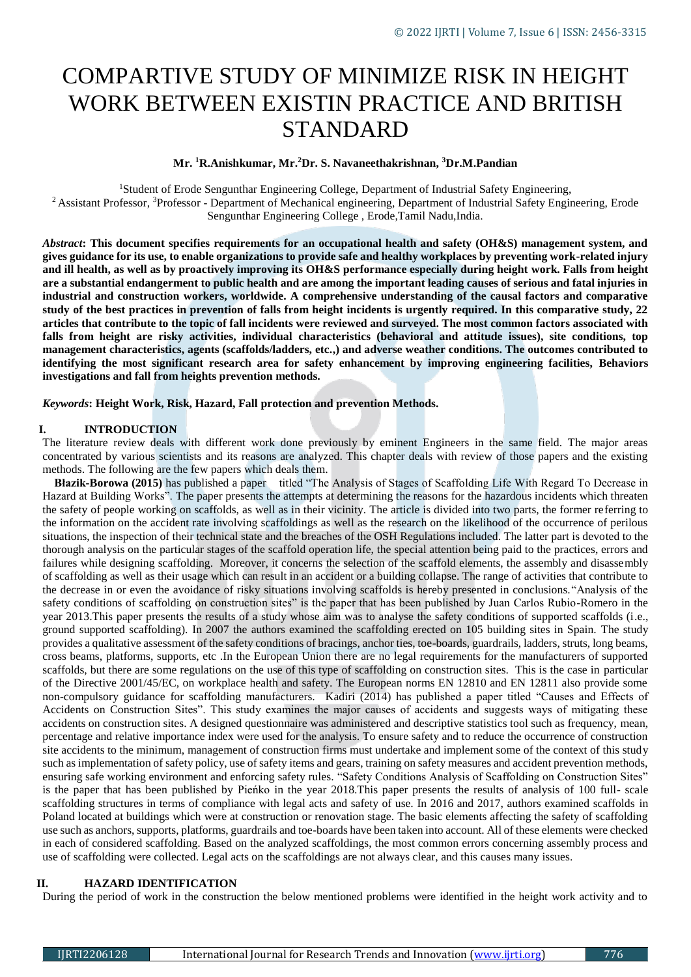# COMPARTIVE STUDY OF MINIMIZE RISK IN HEIGHT WORK BETWEEN EXISTIN PRACTICE AND BRITISH STANDARD

**Mr. <sup>1</sup>R.Anishkumar, Mr.<sup>2</sup>Dr. S. Navaneethakrishnan, <sup>3</sup>Dr.M.Pandian**

<sup>1</sup>Student of Erode Sengunthar Engineering College, Department of Industrial Safety Engineering, <sup>2</sup> Assistant Professor, <sup>3</sup>Professor - Department of Mechanical engineering, Department of Industrial Safety Engineering, Erode Sengunthar Engineering College , Erode,Tamil Nadu,India.

*Abstract***: This document specifies requirements for an occupational health and safety (OH&S) management system, and gives guidance for its use, to enable organizations to provide safe and healthy workplaces by preventing work-related injury**  and ill health, as well as by proactively improving its OH&S performance especially during height work. Falls from height **are a substantial endangerment to public health and are among the important leading causes of serious and fatal injuries in industrial and construction workers, worldwide. A comprehensive understanding of the causal factors and comparative study of the best practices in prevention of falls from height incidents is urgently required. In this comparative study, 22 articles that contribute to the topic of fall incidents were reviewed and surveyed. The most common factors associated with falls from height are risky activities, individual characteristics (behavioral and attitude issues), site conditions, top management characteristics, agents (scaffolds/ladders, etc.,) and adverse weather conditions. The outcomes contributed to identifying the most significant research area for safety enhancement by improving engineering facilities, Behaviors investigations and fall from heights prevention methods.**

*Keywords***: Height Work, Risk, Hazard, Fall protection and prevention Methods.**

#### **I. INTRODUCTION**

The literature review deals with different work done previously by eminent Engineers in the same field. The major areas concentrated by various scientists and its reasons are analyzed. This chapter deals with review of those papers and the existing methods. The following are the few papers which deals them.

 **Błazik-Borowa (2015)** has published a paper titled "The Analysis of Stages of Scaffolding Life With Regard To Decrease in Hazard at Building Works". The paper presents the attempts at determining the reasons for the hazardous incidents which threaten the safety of people working on scaffolds, as well as in their vicinity. The article is divided into two parts, the former referring to the information on the accident rate involving scaffoldings as well as the research on the likelihood of the occurrence of perilous situations, the inspection of their technical state and the breaches of the OSH Regulations included. The latter part is devoted to the thorough analysis on the particular stages of the scaffold operation life, the special attention being paid to the practices, errors and failures while designing scaffolding. Moreover, it concerns the selection of the scaffold elements, the assembly and disassembly of scaffolding as well as their usage which can result in an accident or a building collapse. The range of activities that contribute to the decrease in or even the avoidance of risky situations involving scaffolds is hereby presented in conclusions."Analysis of the safety conditions of scaffolding on construction sites" is the paper that has been published by Juan Carlos Rubio-Romero in the year 2013.This paper presents the results of a study whose aim was to analyse the safety conditions of supported scaffolds (i.e., ground supported scaffolding). In 2007 the authors examined the scaffolding erected on 105 building sites in Spain. The study provides a qualitative assessment of the safety conditions of bracings, anchor ties, toe-boards, guardrails, ladders, struts, long beams, cross beams, platforms, supports, etc .In the European Union there are no legal requirements for the manufacturers of supported scaffolds, but there are some regulations on the use of this type of scaffolding on construction sites. This is the case in particular of the Directive 2001/45/EC, on workplace health and safety. The European norms EN 12810 and EN 12811 also provide some non-compulsory guidance for scaffolding manufacturers. Kadiri (2014) has published a paper titled "Causes and Effects of Accidents on Construction Sites". This study examines the major causes of accidents and suggests ways of mitigating these accidents on construction sites. A designed questionnaire was administered and descriptive statistics tool such as frequency, mean, percentage and relative importance index were used for the analysis. To ensure safety and to reduce the occurrence of construction site accidents to the minimum, management of construction firms must undertake and implement some of the context of this study such as implementation of safety policy, use of safety items and gears, training on safety measures and accident prevention methods, ensuring safe working environment and enforcing safety rules. "Safety Conditions Analysis of Scaffolding on Construction Sites" is the paper that has been published by Pieńko in the year 2018.This paper presents the results of analysis of 100 full- scale scaffolding structures in terms of compliance with legal acts and safety of use. In 2016 and 2017, authors examined scaffolds in Poland located at buildings which were at construction or renovation stage. The basic elements affecting the safety of scaffolding use such as anchors, supports, platforms, guardrails and toe-boards have been taken into account. All of these elements were checked in each of considered scaffolding. Based on the analyzed scaffoldings, the most common errors concerning assembly process and use of scaffolding were collected. Legal acts on the scaffoldings are not always clear, and this causes many issues.

## **II. HAZARD IDENTIFICATION**

During the period of work in the construction the below mentioned problems were identified in the height work activity and to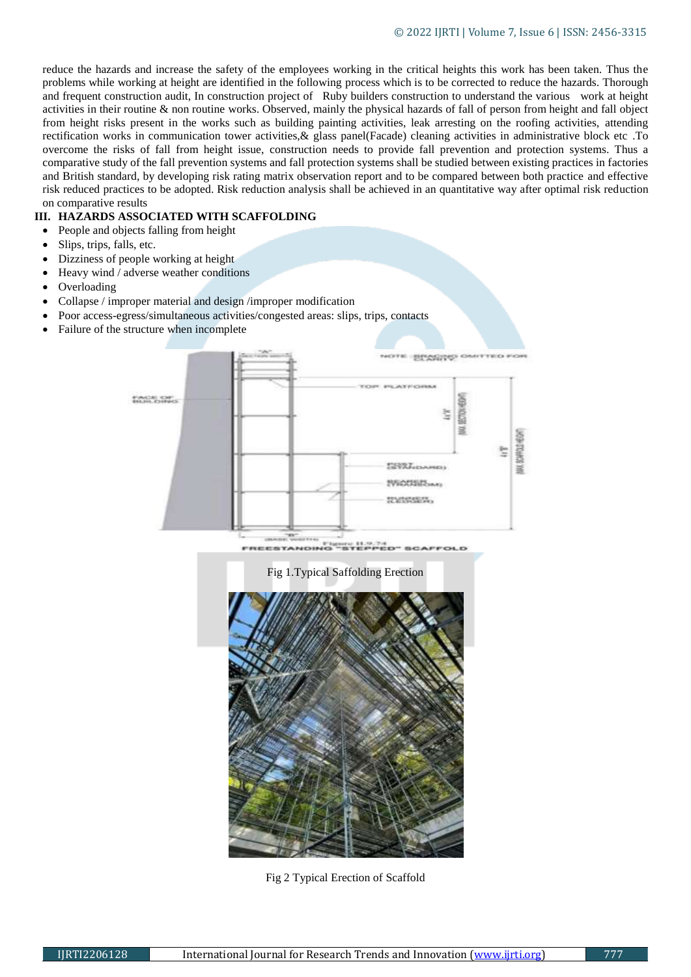reduce the hazards and increase the safety of the employees working in the critical heights this work has been taken. Thus the problems while working at height are identified in the following process which is to be corrected to reduce the hazards. Thorough and frequent construction audit, In construction project of Ruby builders construction to understand the various work at height activities in their routine & non routine works. Observed, mainly the physical hazards of fall of person from height and fall object from height risks present in the works such as building painting activities, leak arresting on the roofing activities, attending rectification works in communication tower activities,& glass panel(Facade) cleaning activities in administrative block etc .To overcome the risks of fall from height issue, construction needs to provide fall prevention and protection systems. Thus a comparative study of the fall prevention systems and fall protection systems shall be studied between existing practices in factories and British standard, by developing risk rating matrix observation report and to be compared between both practice and effective risk reduced practices to be adopted. Risk reduction analysis shall be achieved in an quantitative way after optimal risk reduction on comparative results

## **III. HAZARDS ASSOCIATED WITH SCAFFOLDING**

- People and objects falling from height
- Slips, trips, falls, etc.
- Dizziness of people working at height
- Heavy wind / adverse weather conditions
- Overloading
- Collapse / improper material and design /improper modification
- Poor access-egress/simultaneous activities/congested areas: slips, trips, contacts
- Failure of the structure when incomplete



Fig 2 Typical Erection of Scaffold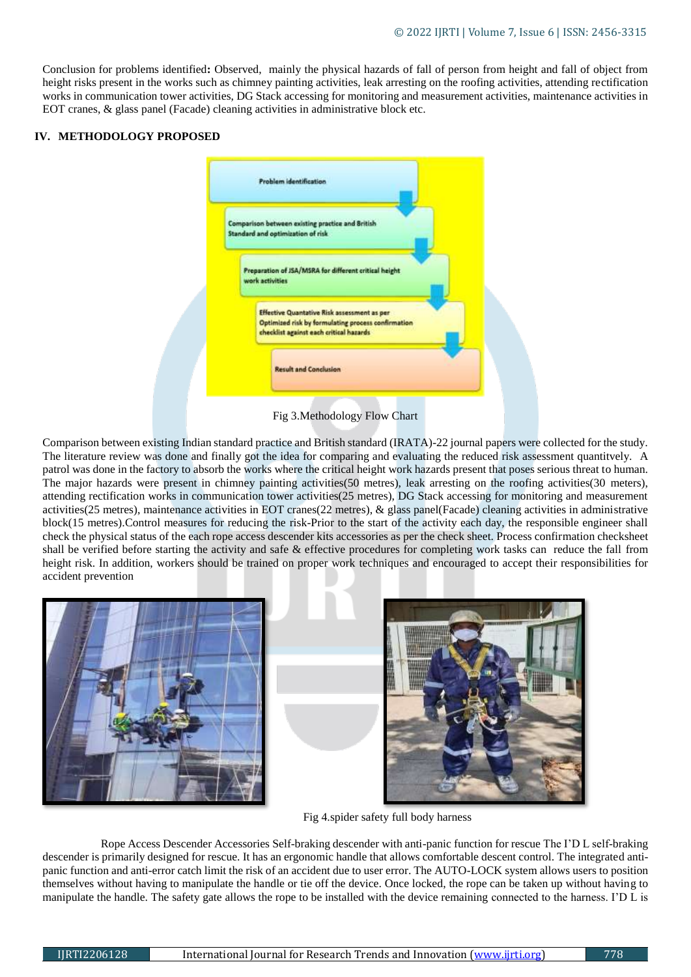Conclusion for problems identified**:** Observed, mainly the physical hazards of fall of person from height and fall of object from height risks present in the works such as chimney painting activities, leak arresting on the roofing activities, attending rectification works in communication tower activities, DG Stack accessing for monitoring and measurement activities, maintenance activities in EOT cranes, & glass panel (Facade) cleaning activities in administrative block etc.

#### **IV. METHODOLOGY PROPOSED**



Fig 3.Methodology Flow Chart

Comparison between existing Indian standard practice and British standard (IRATA)-22 journal papers were collected for the study. The literature review was done and finally got the idea for comparing and evaluating the reduced risk assessment quantitvely. A patrol was done in the factory to absorb the works where the critical height work hazards present that poses serious threat to human. The major hazards were present in chimney painting activities(50 metres), leak arresting on the roofing activities(30 meters), attending rectification works in communication tower activities(25 metres), DG Stack accessing for monitoring and measurement activities(25 metres), maintenance activities in EOT cranes(22 metres), & glass panel(Facade) cleaning activities in administrative block(15 metres).Control measures for reducing the risk-Prior to the start of the activity each day, the responsible engineer shall check the physical status of the each rope access descender kits accessories as per the check sheet. Process confirmation checksheet shall be verified before starting the activity and safe & effective procedures for completing work tasks can reduce the fall from height risk. In addition, workers should be trained on proper work techniques and encouraged to accept their responsibilities for accident prevention



Fig 4.spider safety full body harness

 Rope Access Descender Accessories Self-braking descender with anti-panic function for rescue The I'D L self-braking descender is primarily designed for rescue. It has an ergonomic handle that allows comfortable descent control. The integrated antipanic function and anti-error catch limit the risk of an accident due to user error. The AUTO-LOCK system allows users to position themselves without having to manipulate the handle or tie off the device. Once locked, the rope can be taken up without having to manipulate the handle. The safety gate allows the rope to be installed with the device remaining connected to the harness. I'D L is